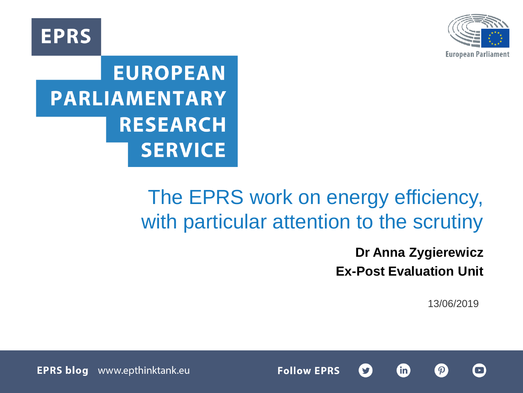

**EPRS** 

# **EUROPEAN PARLIAMENTARY RESEARCH SERVICE**

# The EPRS work on energy efficiency, with particular attention to the scrutiny

**Dr Anna Zygierewicz Ex-Post Evaluation Unit**

**fin** 

13/06/2019





www.epthinktank.eu **EPRS blog** EPRS |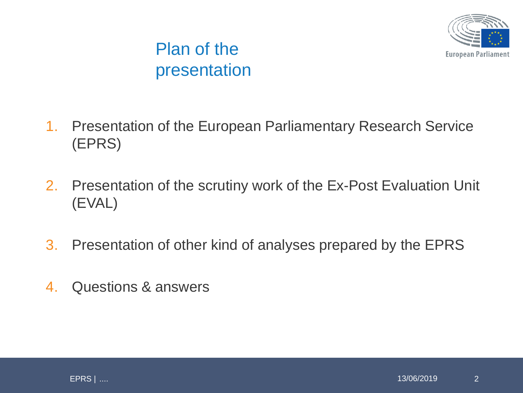

## Plan of the presentation

- 1. Presentation of the European Parliamentary Research Service (EPRS)
- 2. Presentation of the scrutiny work of the Ex-Post Evaluation Unit (EVAL)
- 3. Presentation of other kind of analyses prepared by the EPRS
- 4. Questions & answers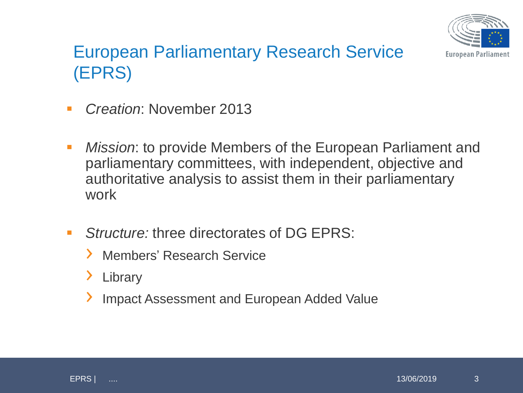

## European Parliamentary Research Service (EPRS)

- *Creation*: November 2013
- *Mission*: to provide Members of the European Parliament and parliamentary committees, with independent, objective and authoritative analysis to assist them in their parliamentary work
- *Structure:* three directorates of DG EPRS:
	- › Members' Research Service
	- › Library
	- › Impact Assessment and European Added Value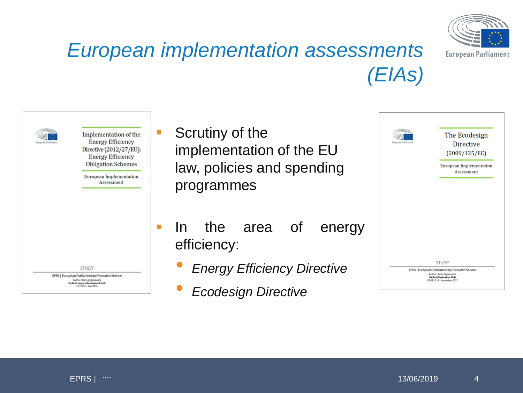

# *European implementation assessments (EIAs)*



- **Scrutiny of the** implementation of the EU law, policies and spending programmes
- In the area of energy efficiency:
	- *Energy Efficiency Directive*
	- *Ecodesign Directive*

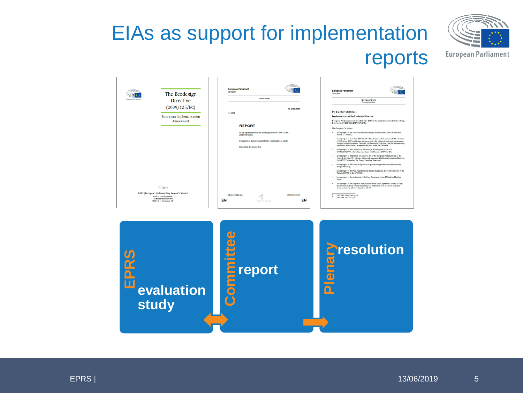# EIAs as support for implementation reports



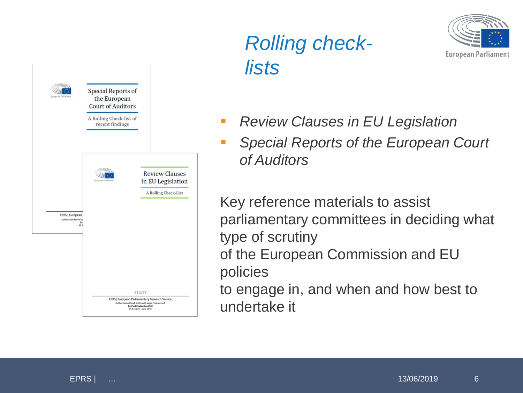

# *Rolling checklists*



- *Review Clauses in EU Legislation*
- *Special Reports of the European Court of Auditors*

Key reference materials to assist parliamentary committees in deciding what type of scrutiny of the European Commission and EU policies to engage in, and when and how best to

undertake it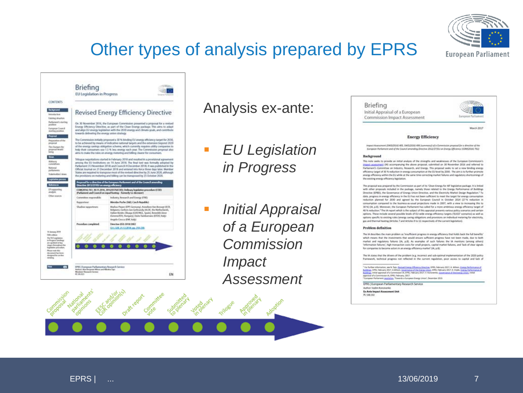## Other types of analysis prepared by EPRS



### Analysis ex-ante:

- *EU Legislation in Progress*
- *Initial Appraisal of a European Commission Impact Assessment*



### **Energy Efficiency**

Impact Assessment (SWD(2014) ADS, SWD(2016) ADS (summary)) of a Commission proposal for a directive of the European Perliament and of the Council amending Directive 2012/27/EU on Energy Efficency (COME2016) 761)

#### Background

This note seeks to provide an initial analysis of the strengths and weaknesses of the European Commiss impact assessment (M) accompanying the above proposal, submitted on 30 November 2016 and referred to Parliament's Committee on Industry, Research, and Energy. This proposal seeks to set a new binding energy efficiency target of 30 % reduction in energy consumption at the EU level by 2030. The aim is to further promote energy efficiency within the EU while at the same time correcting market failures and regulatory shortcomings of the existing energy efficiency ligislation.

The proposal was prepared by the Commission as part of its 'Oean Energy for AI' legislative package. It is linked with other proposals included in the package, namely those related to the Energy Performance of Buildings Directive (EPBD), the Governance of Energy Union Directive, and the Electricity Market Design Regulation.<sup>1</sup> To date, progress in energy efficiency in the EU has not been sufficient to meet the target for energy consumption reduction planned for 2030 and agreed by the European Council in October 2014 (27% reduction in consumption compared to the business-as-usual projections made in 2007, with a view to increasing this to 30%) (iA, p.8). Moneover, the European Parliament has called for a more ambitious energy efficiency target of 40 % reduction.<sup>2</sup> The IA report which is the subject of this appraisal presents various policy somerios and certain options. These include several possible levels of EU-wide energy efficiency targets ('EUCO' scenarios) as well as options specific to existing rules (energy saving obligations and provisions on individual metering for electricity, gas and thermal heating (Articles 7 and Articles 9 to 11 respectively of the current legislation).

#### Problem definition

The 1A describes the main problem as "mudficient progress in energy efficiency that holds back the full benefits" which means that the investments that would ensure sufficient progress have not been made, due to both market and regulatory falsees DA, p.El. As examples of such falsees the SA mentions (among others) 'information failures', high transaction costs for small projects, capital market failures, and 'lack of clear signals for companies to become actors in an energy efficiency market' (IA, p.8).

The 1A states that the drivers of the problem (e.g. incorrect and sub-optimal implementation of the 2020 policy framework, bethnical progress not reflected in the current regulation, poor access to capital and lack of

<sup>1</sup> for further information, see N. Says, Sponsof Energy (Photocy Direction, DNS, February 2017, A. Whites, <u>Energy Furthermann of</u><br>Buildings, EPSA: Helvery 2017, A.Minison, <u>Goodmann of the Direct</u> United, Sponsor, DD, F. appraise of a Commission of, EPRS, February, 2017.<br><sup>7</sup> European Portlament (workstop, "Towards a European Energy Union", December 2015.

EPRS | European Parliamentary Research Service

Author: Vadim Koncounko Ex-Ante Impact Assessment Unit PE 558,500





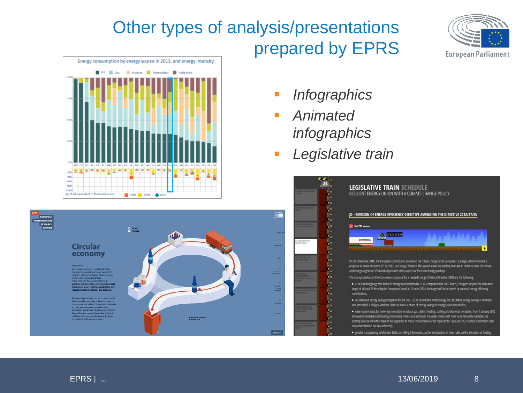## Other types of analysis/presentations prepared by EPRS





- *Infographics*
- *Animated infographics*
- *Legislative train*





proposal to revise Directive 2012/27/EU on Energy Efficiency. This would adapt the existing Directive in order to meet EU climate and energy targets for 2030 and align it with other aspects of the Clean Energy package.

- The main provisions of the Commission proposal for a revised Energy Efficiency Directive (EED) are the following
- · a 30 % binding target for reduced energy consumption by 2030 (compared with 2007 levels); this goes beyond the indicative target of at least 27 % set by the European Council in October 2014; the target will be achieved by national energy efficiency contributions;
- · an extended energy savings obligation for the 2021-2030 period; the methodology for calculating energy savings is reviewed and amended; it obliges Member States to invest a share of energy savings in energy-poor households;
- . new requirements for metering in relation to natural gas, district heating, cooling and domestic hot water; from 1 January 2020 all newly installed district heating and cooling meters and domestic hot water meters will have to be remotely readable; the existing devices will either have to be upgraded to these requirements or be replaced by 1 January 2027 (unless a Member State can prove that it is not cost-efficient);
- . greater transparency in Member States on billing information, as the introduction of clear rules on the allocation of heating